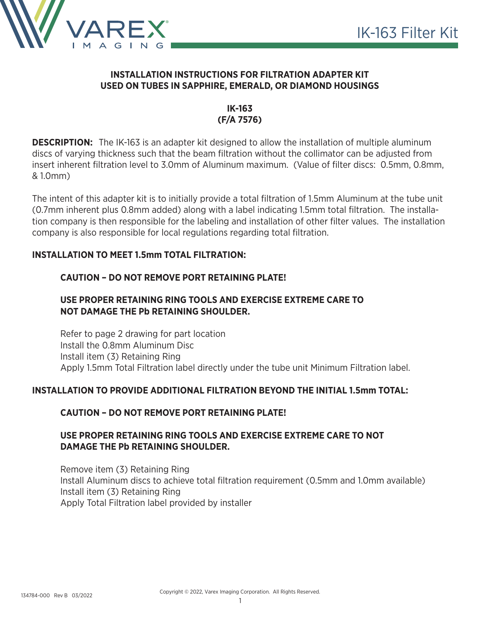

#### **INSTALLATION INSTRUCTIONS FOR FILTRATION ADAPTER KIT USED ON TUBES IN SAPPHIRE, EMERALD, OR DIAMOND HOUSINGS**

# **IK-163 (F/A 7576)**

**DESCRIPTION:** The IK-163 is an adapter kit designed to allow the installation of multiple aluminum discs of varying thickness such that the beam filtration without the collimator can be adjusted from insert inherent filtration level to 3.0mm of Aluminum maximum. (Value of filter discs: 0.5mm, 0.8mm, & 1.0mm)

The intent of this adapter kit is to initially provide a total filtration of 1.5mm Aluminum at the tube unit (0.7mm inherent plus 0.8mm added) along with a label indicating 1.5mm total filtration. The installation company is then responsible for the labeling and installation of other filter values. The installation company is also responsible for local regulations regarding total filtration.

## **INSTALLATION TO MEET 1.5mm TOTAL FILTRATION:**

# **CAUTION – DO NOT REMOVE PORT RETAINING PLATE!**

## **USE PROPER RETAINING RING TOOLS AND EXERCISE EXTREME CARE TO NOT DAMAGE THE Pb RETAINING SHOULDER.**

Refer to page 2 drawing for part location Install the 0.8mm Aluminum Disc Install item (3) Retaining Ring Apply 1.5mm Total Filtration label directly under the tube unit Minimum Filtration label.

## **INSTALLATION TO PROVIDE ADDITIONAL FILTRATION BEYOND THE INITIAL 1.5mm TOTAL:**

# **CAUTION – DO NOT REMOVE PORT RETAINING PLATE!**

## **USE PROPER RETAINING RING TOOLS AND EXERCISE EXTREME CARE TO NOT DAMAGE THE Pb RETAINING SHOULDER.**

Remove item (3) Retaining Ring Install Aluminum discs to achieve total filtration requirement (0.5mm and 1.0mm available) Install item (3) Retaining Ring Apply Total Filtration label provided by installer